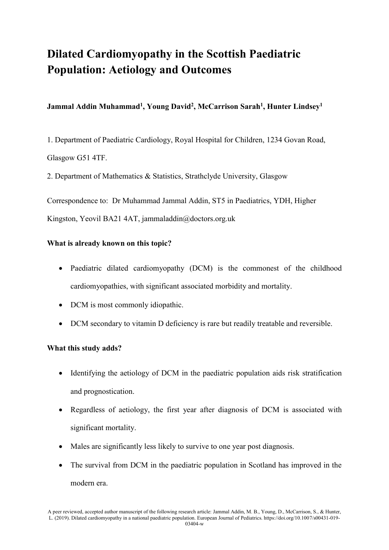# **Dilated Cardiomyopathy in the Scottish Paediatric Population: Aetiology and Outcomes**

# **Jammal Addin Muhammad<sup>1</sup> , Young David<sup>2</sup> , McCarrison Sarah<sup>1</sup> , Hunter Lindsey<sup>1</sup>**

1. Department of Paediatric Cardiology, Royal Hospital for Children, 1234 Govan Road, Glasgow G51 4TF.

2. Department of Mathematics & Statistics, Strathclyde University, Glasgow

Correspondence to: Dr Muhammad Jammal Addin, ST5 in Paediatrics, YDH, Higher

Kingston, Yeovil BA21 4AT, jammaladdin@doctors.org.uk

# **What is already known on this topic?**

- Paediatric dilated cardiomyopathy (DCM) is the commonest of the childhood cardiomyopathies, with significant associated morbidity and mortality.
- DCM is most commonly idiopathic.
- DCM secondary to vitamin D deficiency is rare but readily treatable and reversible.

# **What this study adds?**

- Identifying the aetiology of DCM in the paediatric population aids risk stratification and prognostication.
- Regardless of aetiology, the first year after diagnosis of DCM is associated with significant mortality.
- Males are significantly less likely to survive to one year post diagnosis.
- The survival from DCM in the paediatric population in Scotland has improved in the modern era.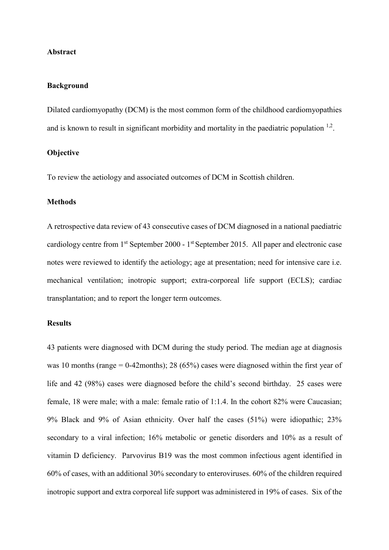## **Abstract**

## **Background**

Dilated cardiomyopathy (DCM) is the most common form of the childhood cardiomyopathies and is known to result in significant morbidity and mortality in the paediatric population  $1,2$ .

## **Objective**

To review the aetiology and associated outcomes of DCM in Scottish children.

#### **Methods**

A retrospective data review of 43 consecutive cases of DCM diagnosed in a national paediatric cardiology centre from 1<sup>st</sup> September 2000 - 1<sup>st</sup> September 2015. All paper and electronic case notes were reviewed to identify the aetiology; age at presentation; need for intensive care i.e. mechanical ventilation; inotropic support; extra-corporeal life support (ECLS); cardiac transplantation; and to report the longer term outcomes.

#### **Results**

43 patients were diagnosed with DCM during the study period. The median age at diagnosis was 10 months (range = 0-42months); 28 (65%) cases were diagnosed within the first year of life and 42 (98%) cases were diagnosed before the child's second birthday. 25 cases were female, 18 were male; with a male: female ratio of 1:1.4. In the cohort 82% were Caucasian; 9% Black and 9% of Asian ethnicity. Over half the cases (51%) were idiopathic; 23% secondary to a viral infection; 16% metabolic or genetic disorders and 10% as a result of vitamin D deficiency. Parvovirus B19 was the most common infectious agent identified in 60% of cases, with an additional 30% secondary to enteroviruses. 60% of the children required inotropic support and extra corporeal life support was administered in 19% of cases. Six of the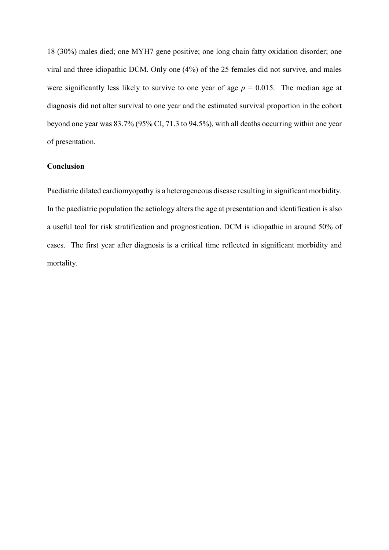18 (30%) males died; one MYH7 gene positive; one long chain fatty oxidation disorder; one viral and three idiopathic DCM. Only one (4%) of the 25 females did not survive, and males were significantly less likely to survive to one year of age  $p = 0.015$ . The median age at diagnosis did not alter survival to one year and the estimated survival proportion in the cohort beyond one year was 83.7% (95% CI, 71.3 to 94.5%), with all deaths occurring within one year of presentation.

## **Conclusion**

Paediatric dilated cardiomyopathy is a heterogeneous disease resulting in significant morbidity. In the paediatric population the aetiology alters the age at presentation and identification is also a useful tool for risk stratification and prognostication. DCM is idiopathic in around 50% of cases. The first year after diagnosis is a critical time reflected in significant morbidity and mortality.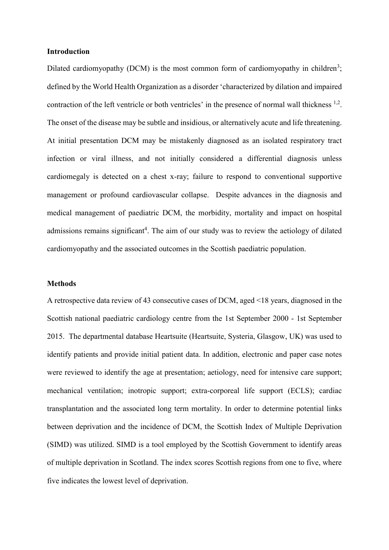## **Introduction**

Dilated cardiomyopathy (DCM) is the most common form of cardiomyopathy in children<sup>3</sup>; defined by the World Health Organization as a disorder 'characterized by dilation and impaired contraction of the left ventricle or both ventricles' in the presence of normal wall thickness <sup>1,2</sup>. The onset of the disease may be subtle and insidious, or alternatively acute and life threatening. At initial presentation DCM may be mistakenly diagnosed as an isolated respiratory tract infection or viral illness, and not initially considered a differential diagnosis unless cardiomegaly is detected on a chest x-ray; failure to respond to conventional supportive management or profound cardiovascular collapse. Despite advances in the diagnosis and medical management of paediatric DCM, the morbidity, mortality and impact on hospital admissions remains significant<sup>4</sup>. The aim of our study was to review the aetiology of dilated cardiomyopathy and the associated outcomes in the Scottish paediatric population.

## **Methods**

A retrospective data review of 43 consecutive cases of DCM, aged <18 years, diagnosed in the Scottish national paediatric cardiology centre from the 1st September 2000 - 1st September 2015. The departmental database Heartsuite (Heartsuite, Systeria, Glasgow, UK) was used to identify patients and provide initial patient data. In addition, electronic and paper case notes were reviewed to identify the age at presentation; aetiology, need for intensive care support; mechanical ventilation; inotropic support; extra-corporeal life support (ECLS); cardiac transplantation and the associated long term mortality. In order to determine potential links between deprivation and the incidence of DCM, the [Scottish Index of Multiple Deprivation](https://www.google.co.uk/url?sa=t&rct=j&q=&esrc=s&source=web&cd=1&cad=rja&uact=8&sqi=2&ved=0ahUKEwixheub4sPOAhViDsAKHc2mBGAQFggjMAA&url=http%3A%2F%2Fwww.gov.scot%2FTopics%2FStatistics%2FSIMD&usg=AFQjCNHdqNALiDzYlgCmN_woVlkx8DXWJw&bvm=bv.129422649,d.d24)  (SIMD) [was utilized. SIMD is a tool employed by the Scottish Government to identify areas](https://www.google.co.uk/url?sa=t&rct=j&q=&esrc=s&source=web&cd=1&cad=rja&uact=8&sqi=2&ved=0ahUKEwixheub4sPOAhViDsAKHc2mBGAQFggjMAA&url=http%3A%2F%2Fwww.gov.scot%2FTopics%2FStatistics%2FSIMD&usg=AFQjCNHdqNALiDzYlgCmN_woVlkx8DXWJw&bvm=bv.129422649,d.d24)  [of multiple deprivation in Scotland. The index scores Scottish regions from one to five, where](https://www.google.co.uk/url?sa=t&rct=j&q=&esrc=s&source=web&cd=1&cad=rja&uact=8&sqi=2&ved=0ahUKEwixheub4sPOAhViDsAKHc2mBGAQFggjMAA&url=http%3A%2F%2Fwww.gov.scot%2FTopics%2FStatistics%2FSIMD&usg=AFQjCNHdqNALiDzYlgCmN_woVlkx8DXWJw&bvm=bv.129422649,d.d24)  [five indicates the lowest level of deprivation.](https://www.google.co.uk/url?sa=t&rct=j&q=&esrc=s&source=web&cd=1&cad=rja&uact=8&sqi=2&ved=0ahUKEwixheub4sPOAhViDsAKHc2mBGAQFggjMAA&url=http%3A%2F%2Fwww.gov.scot%2FTopics%2FStatistics%2FSIMD&usg=AFQjCNHdqNALiDzYlgCmN_woVlkx8DXWJw&bvm=bv.129422649,d.d24)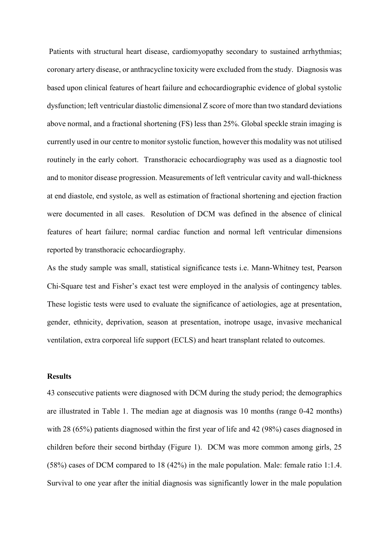Patients with structural heart disease, cardiomyopathy secondary to sustained arrhythmias; coronary artery disease, or anthracycline toxicity were excluded from the study. Diagnosis was based upon clinical features of heart failure and echocardiographic evidence of global systolic dysfunction; left ventricular diastolic dimensional Z score of more than two standard deviations above normal, and a fractional shortening (FS) less than 25%. Global speckle strain imaging is currently used in our centre to monitor systolic function, however this modality was not utilised routinely in the early cohort. Transthoracic echocardiography was used as a diagnostic tool and to monitor disease progression. Measurements of left ventricular cavity and wall-thickness at end diastole, end systole, as well as estimation of fractional shortening and ejection fraction were documented in all cases. Resolution of DCM was defined in the absence of clinical features of heart failure; normal cardiac function and normal left ventricular dimensions reported by transthoracic echocardiography.

As the study sample was small, statistical significance tests i.e. Mann-Whitney test, Pearson Chi-Square test and Fisher's exact test were employed in the analysis of contingency tables. These logistic tests were used to evaluate the significance of aetiologies, age at presentation, gender, ethnicity, deprivation, season at presentation, inotrope usage, invasive mechanical ventilation, extra corporeal life support (ECLS) and heart transplant related to outcomes.

## **Results**

43 consecutive patients were diagnosed with DCM during the study period; the demographics are illustrated in Table 1. The median age at diagnosis was 10 months (range 0-42 months) with 28 (65%) patients diagnosed within the first year of life and 42 (98%) cases diagnosed in children before their second birthday (Figure 1). DCM was more common among girls, 25 (58%) cases of DCM compared to 18 (42%) in the male population. Male: female ratio 1:1.4. Survival to one year after the initial diagnosis was significantly lower in the male population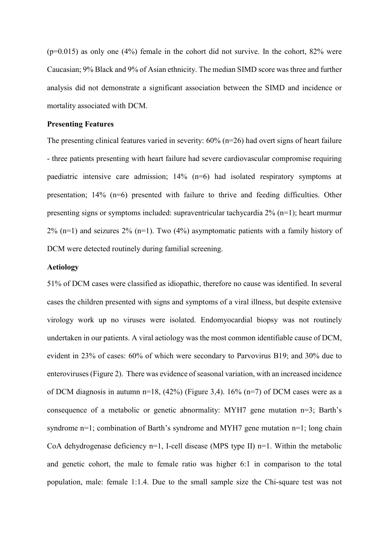$(p=0.015)$  as only one  $(4\%)$  female in the cohort did not survive. In the cohort, 82% were Caucasian; 9% Black and 9% of Asian ethnicity. The median SIMD score was three and further analysis did not demonstrate a significant association between the SIMD and incidence or mortality associated with DCM.

## **Presenting Features**

The presenting clinical features varied in severity: 60% (n=26) had overt signs of heart failure - three patients presenting with heart failure had severe cardiovascular compromise requiring paediatric intensive care admission; 14% (n=6) had isolated respiratory symptoms at presentation; 14% (n=6) presented with failure to thrive and feeding difficulties. Other presenting signs or symptoms included: supraventricular tachycardia 2% (n=1); heart murmur  $2\%$  (n=1) and seizures  $2\%$  (n=1). Two (4%) asymptomatic patients with a family history of DCM were detected routinely during familial screening.

## **Aetiology**

51% of DCM cases were classified as idiopathic, therefore no cause was identified. In several cases the children presented with signs and symptoms of a viral illness, but despite extensive virology work up no viruses were isolated. Endomyocardial biopsy was not routinely undertaken in our patients. A viral aetiology was the most common identifiable cause of DCM, evident in 23% of cases: 60% of which were secondary to Parvovirus B19; and 30% due to enteroviruses (Figure 2). There was evidence of seasonal variation, with an increased incidence of DCM diagnosis in autumn n=18,  $(42%)$  (Figure 3,4). 16% (n=7) of DCM cases were as a consequence of a metabolic or genetic abnormality:  $MYH7$  gene mutation  $n=3$ ; Barth's syndrome n=1; combination of Barth's syndrome and MYH7 gene mutation n=1; long chain CoA dehydrogenase deficiency  $n=1$ , I-cell disease (MPS type II)  $n=1$ . Within the metabolic and genetic cohort, the male to female ratio was higher 6:1 in comparison to the total population, male: female 1:1.4. Due to the small sample size the Chi-square test was not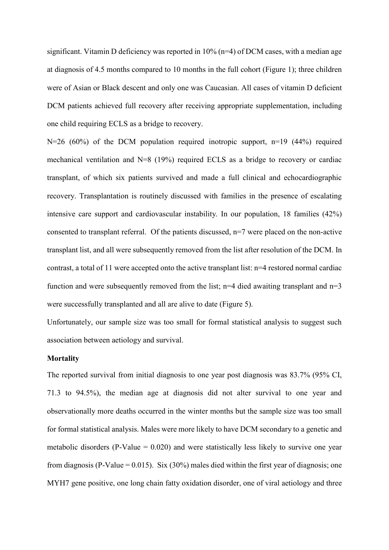significant. Vitamin D deficiency was reported in  $10\%$  (n=4) of DCM cases, with a median age at diagnosis of 4.5 months compared to 10 months in the full cohort (Figure 1); three children were of Asian or Black descent and only one was Caucasian. All cases of vitamin D deficient DCM patients achieved full recovery after receiving appropriate supplementation, including one child requiring ECLS as a bridge to recovery.

 $N=26$  (60%) of the DCM population required inotropic support, n=19 (44%) required mechanical ventilation and N=8 (19%) required ECLS as a bridge to recovery or cardiac transplant, of which six patients survived and made a full clinical and echocardiographic recovery. Transplantation is routinely discussed with families in the presence of escalating intensive care support and cardiovascular instability. In our population, 18 families (42%) consented to transplant referral. Of the patients discussed, n=7 were placed on the non-active transplant list, and all were subsequently removed from the list after resolution of the DCM. In contrast, a total of 11 were accepted onto the active transplant list: n=4 restored normal cardiac function and were subsequently removed from the list; n=4 died awaiting transplant and  $n=3$ were successfully transplanted and all are alive to date (Figure 5).

Unfortunately, our sample size was too small for formal statistical analysis to suggest such association between aetiology and survival.

## **Mortality**

The reported survival from initial diagnosis to one year post diagnosis was 83.7% (95% CI, 71.3 to 94.5%), the median age at diagnosis did not alter survival to one year and observationally more deaths occurred in the winter months but the sample size was too small for formal statistical analysis. Males were more likely to have DCM secondary to a genetic and metabolic disorders (P-Value  $= 0.020$ ) and were statistically less likely to survive one year from diagnosis (P-Value =  $0.015$ ). Six (30%) males died within the first year of diagnosis; one MYH7 gene positive, one long chain fatty oxidation disorder, one of viral aetiology and three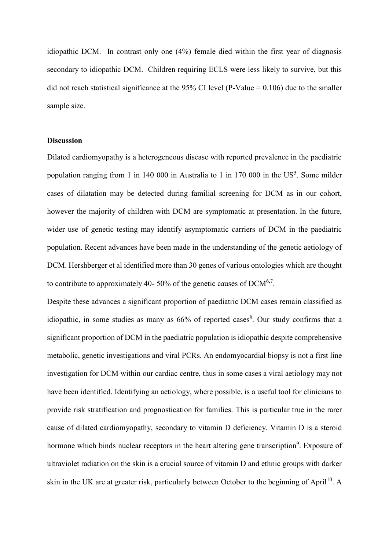idiopathic DCM. In contrast only one (4%) female died within the first year of diagnosis secondary to idiopathic DCM. Children requiring ECLS were less likely to survive, but this did not reach statistical significance at the 95% CI level (P-Value =  $0.106$ ) due to the smaller sample size.

# **Discussion**

Dilated cardiomyopathy is a heterogeneous disease with reported prevalence in the paediatric population ranging from 1 in 140 000 in Australia to 1 in 170 000 in the  $US^5$ . Some milder cases of dilatation may be detected during familial screening for DCM as in our cohort, however the majority of children with DCM are symptomatic at presentation. In the future, wider use of genetic testing may identify asymptomatic carriers of DCM in the paediatric population. Recent advances have been made in the understanding of the genetic aetiology of DCM. Hershberger et al identified more than 30 genes of various ontologies which are thought to contribute to approximately 40- 50% of the genetic causes of  $DCM^{6,7}$ .

Despite these advances a significant proportion of paediatric DCM cases remain classified as idiopathic, in some studies as many as  $66\%$  of reported cases<sup>8</sup>. Our study confirms that a significant proportion of DCM in the paediatric population is idiopathic despite comprehensive metabolic, genetic investigations and viral PCRs. An endomyocardial biopsy is not a first line investigation for DCM within our cardiac centre, thus in some cases a viral aetiology may not have been identified. Identifying an aetiology, where possible, is a useful tool for clinicians to provide risk stratification and prognostication for families. This is particular true in the rarer cause of dilated cardiomyopathy, secondary to vitamin D deficiency. Vitamin D is a steroid hormone which binds nuclear receptors in the heart altering gene transcription<sup>9</sup>. Exposure of ultraviolet radiation on the skin is a crucial source of vitamin D and ethnic groups with darker skin in the UK are at greater risk, particularly between October to the beginning of April<sup>10</sup>. A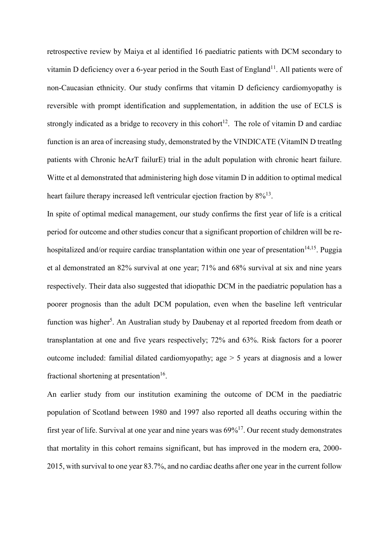retrospective review by Maiya et al identified 16 paediatric patients with DCM secondary to vitamin D deficiency over a 6-year period in the South East of England<sup>11</sup>. All patients were of non-Caucasian ethnicity. Our study confirms that vitamin D deficiency cardiomyopathy is reversible with prompt identification and supplementation, in addition the use of ECLS is strongly indicated as a bridge to recovery in this cohort<sup>12</sup>. The role of vitamin D and cardiac function is an area of increasing study, demonstrated by the VINDICATE (VitamIN D treatIng patients with Chronic heArT failurE) trial in the adult population with chronic heart failure. Witte et al demonstrated that administering high dose vitamin D in addition to optimal medical heart failure therapy increased left ventricular ejection fraction by  $8\%/13}$ .

In spite of optimal medical management, our study confirms the first year of life is a critical period for outcome and other studies concur that a significant proportion of children will be rehospitalized and/or require cardiac transplantation within one year of presentation<sup>14,15</sup>. Puggia et al demonstrated an 82% survival at one year; 71% and 68% survival at six and nine years respectively. Their data also suggested that idiopathic DCM in the paediatric population has a poorer prognosis than the adult DCM population, even when the baseline left ventricular function was higher<sup>5</sup>. An Australian study by Daubenay et al reported freedom from death or transplantation at one and five years respectively; 72% and 63%. Risk factors for a poorer outcome included: familial dilated cardiomyopathy; age > 5 years at diagnosis and a lower fractional shortening at presentation<sup>16</sup>.

An earlier study from our institution examining the outcome of DCM in the paediatric population of Scotland between 1980 and 1997 also reported all deaths occuring within the first year of life. Survival at one year and nine years was  $69\%^{17}$ . Our recent study demonstrates that mortality in this cohort remains significant, but has improved in the modern era, 2000- 2015, with survival to one year 83.7%, and no cardiac deaths after one year in the current follow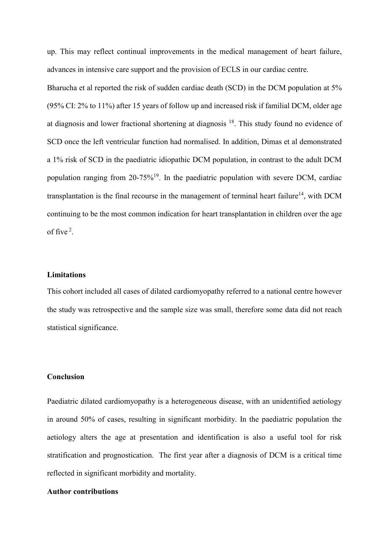up. This may reflect continual improvements in the medical management of heart failure, advances in intensive care support and the provision of ECLS in our cardiac centre.

Bharucha et al reported the risk of sudden cardiac death (SCD) in the DCM population at 5% (95% CI: 2% to 11%) after 15 years of follow up and increased risk if familial DCM, older age at diagnosis and lower fractional shortening at diagnosis<sup>18</sup>. This study found no evidence of SCD once the left ventricular function had normalised. In addition, Dimas et al demonstrated a 1% risk of SCD in the paediatric idiopathic DCM population, in contrast to the adult DCM population ranging from  $20-75\%^{19}$ . In the paediatric population with severe DCM, cardiac transplantation is the final recourse in the management of terminal heart failure<sup>14</sup>, with DCM continuing to be the most common indication for heart transplantation in children over the age of five<sup>2</sup>.

#### **Limitations**

This cohort included all cases of dilated cardiomyopathy referred to a national centre however the study was retrospective and the sample size was small, therefore some data did not reach statistical significance.

## **Conclusion**

Paediatric dilated cardiomyopathy is a heterogeneous disease, with an unidentified aetiology in around 50% of cases, resulting in significant morbidity. In the paediatric population the aetiology alters the age at presentation and identification is also a useful tool for risk stratification and prognostication. The first year after a diagnosis of DCM is a critical time reflected in significant morbidity and mortality.

# **Author contributions**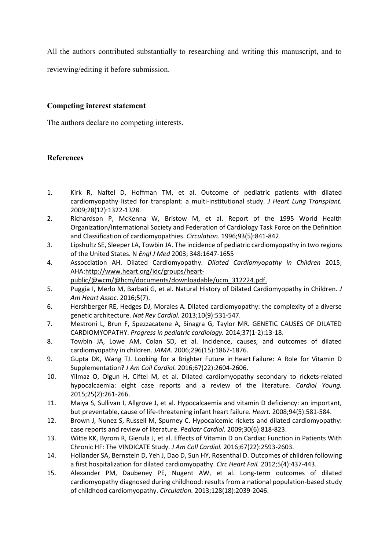All the authors contributed substantially to researching and writing this manuscript, and to

reviewing/editing it before submission.

# **Competing interest statement**

The authors declare no competing interests.

# **References**

- 1. Kirk R, Naftel D, Hoffman TM, et al. Outcome of pediatric patients with dilated cardiomyopathy listed for transplant: a multi-institutional study. *J Heart Lung Transplant.*  2009;28(12):1322-1328.
- 2. Richardson P, McKenna W, Bristow M, et al. Report of the 1995 World Health Organization/International Society and Federation of Cardiology Task Force on the Definition and Classification of cardiomyopathies. *Circulation.* 1996;93(5):841-842.
- 3. Lipshultz SE, Sleeper LA, Towbin JA. The incidence of pediatric cardiomyopathy in two regions of the United States. N *Engl J Med* 2003; 348:1647-1655
- 4. Assocciation AH. Dilated Cardiomyopathy. *Dilated Cardiomyopathy in Children* 2015; AHA[:http://www.heart.org/idc/groups/heart](http://www.heart.org/idc/groups/heart-public/@wcm/@hcm/documents/downloadable/ucm_312224.pdf)
	- [public/@wcm/@hcm/documents/downloadable/ucm\\_312224.pdf.](http://www.heart.org/idc/groups/heart-public/@wcm/@hcm/documents/downloadable/ucm_312224.pdf)
- 5. Puggia I, Merlo M, Barbati G, et al. Natural History of Dilated Cardiomyopathy in Children. *J Am Heart Assoc.* 2016;5(7).
- 6. Hershberger RE, Hedges DJ, Morales A. Dilated cardiomyopathy: the complexity of a diverse genetic architecture. *Nat Rev Cardiol.* 2013;10(9):531-547.
- 7. Mestroni L, Brun F, Spezzacatene A, Sinagra G, Taylor MR. GENETIC CAUSES OF DILATED CARDIOMYOPATHY. *Progress in pediatric cardiology.* 2014;37(1-2):13-18.
- 8. Towbin JA, Lowe AM, Colan SD, et al. Incidence, causes, and outcomes of dilated cardiomyopathy in children. *JAMA.* 2006;296(15):1867-1876.
- 9. Gupta DK, Wang TJ. Looking for a Brighter Future in Heart Failure: A Role for Vitamin D Supplementation? *J Am Coll Cardiol.* 2016;67(22):2604-2606.
- 10. Yilmaz O, Olgun H, Ciftel M, et al. Dilated cardiomyopathy secondary to rickets-related hypocalcaemia: eight case reports and a review of the literature. *Cardiol Young.*  2015;25(2):261-266.
- 11. Maiya S, Sullivan I, Allgrove J, et al. Hypocalcaemia and vitamin D deficiency: an important, but preventable, cause of life-threatening infant heart failure. *Heart.* 2008;94(5):581-584.
- 12. Brown J, Nunez S, Russell M, Spurney C. Hypocalcemic rickets and dilated cardiomyopathy: case reports and review of literature. *Pediatr Cardiol.* 2009;30(6):818-823.
- 13. Witte KK, Byrom R, Gierula J, et al. Effects of Vitamin D on Cardiac Function in Patients With Chronic HF: The VINDICATE Study. *J Am Coll Cardiol.* 2016;67(22):2593-2603.
- 14. Hollander SA, Bernstein D, Yeh J, Dao D, Sun HY, Rosenthal D. Outcomes of children following a first hospitalization for dilated cardiomyopathy. *Circ Heart Fail.* 2012;5(4):437-443.
- 15. Alexander PM, Daubeney PE, Nugent AW, et al. Long-term outcomes of dilated cardiomyopathy diagnosed during childhood: results from a national population-based study of childhood cardiomyopathy. *Circulation.* 2013;128(18):2039-2046.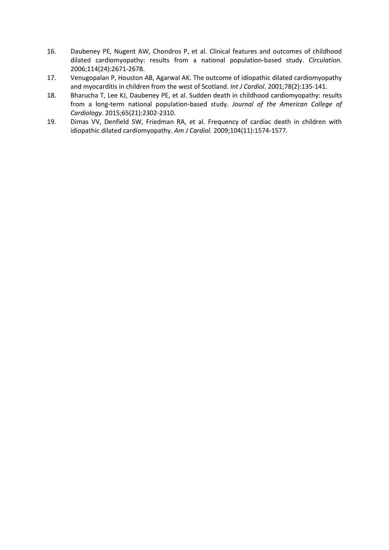- 16. Daubeney PE, Nugent AW, Chondros P, et al. Clinical features and outcomes of childhood dilated cardiomyopathy: results from a national population-based study. *Circulation.*  2006;114(24):2671-2678.
- 17. Venugopalan P, Houston AB, Agarwal AK. The outcome of idiopathic dilated cardiomyopathy and myocarditis in children from the west of Scotland. *Int J Cardiol.* 2001;78(2):135-141.
- 18. Bharucha T, Lee KJ, Daubeney PE, et al. Sudden death in childhood cardiomyopathy: results from a long-term national population-based study. *Journal of the American College of Cardiology.* 2015;65(21):2302-2310.
- 19. Dimas VV, Denfield SW, Friedman RA, et al. Frequency of cardiac death in children with idiopathic dilated cardiomyopathy. *Am J Cardiol.* 2009;104(11):1574-1577.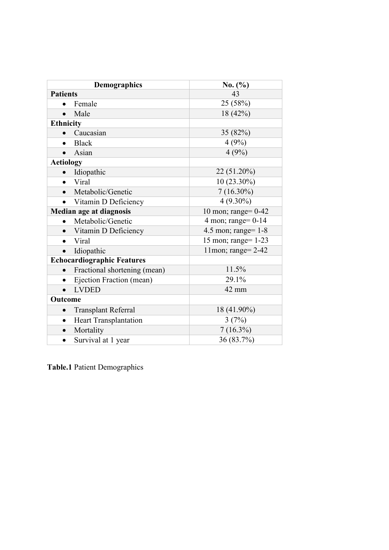| <b>Demographics</b>                     | No. (%)               |
|-----------------------------------------|-----------------------|
| <b>Patients</b>                         | 43                    |
| Female                                  | 25 (58%)              |
| Male                                    | 18 (42%)              |
| <b>Ethnicity</b>                        |                       |
| Caucasian<br>$\bullet$                  | 35(82%)               |
| <b>Black</b><br>$\bullet$               | 4(9%)                 |
| Asian                                   | 4(9%)                 |
| <b>Aetiology</b>                        |                       |
| Idiopathic<br>$\bullet$                 | 22 (51.20%)           |
| Viral<br>$\bullet$                      | $10(23.30\%)$         |
| Metabolic/Genetic                       | $7(16.30\%)$          |
| Vitamin D Deficiency<br>$\bullet$       | $4(9.30\%)$           |
| Median age at diagnosis                 | 10 mon; range= $0-42$ |
| Metabolic/Genetic                       | 4 mon; range= $0-14$  |
| Vitamin D Deficiency                    | 4.5 mon; range= $1-8$ |
| Viral<br>$\bullet$                      | 15 mon; range= 1-23   |
| Idiopathic<br>$\bullet$                 | 11mon; range= 2-42    |
| <b>Echocardiographic Features</b>       |                       |
| Fractional shortening (mean)            | 11.5%                 |
| Ejection Fraction (mean)<br>$\bullet$   | 29.1%                 |
| <b>LVDED</b><br>$\bullet$               | 42 mm                 |
| Outcome                                 |                       |
| <b>Transplant Referral</b><br>$\bullet$ | 18 (41.90%)           |
| Heart Transplantation<br>$\bullet$      | 3(7%)                 |
| Mortality                               | $7(16.3\%)$           |
| Survival at 1 year<br>$\bullet$         | 36 (83.7%)            |

**Table.1** Patient Demographics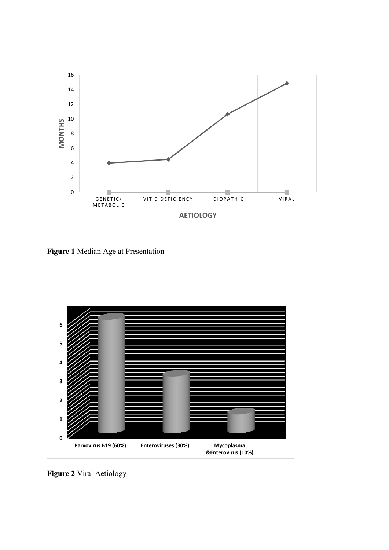

**Figure 1** Median Age at Presentation



**Figure 2** Viral Aetiology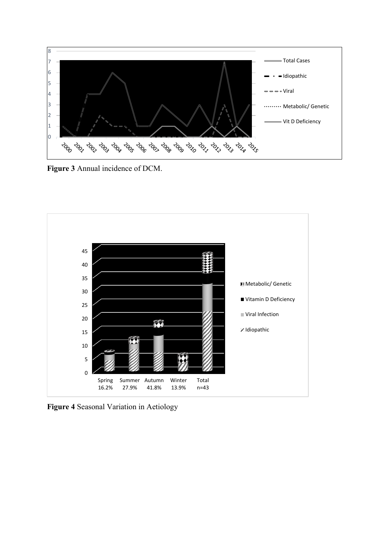

**Figure 3** Annual incidence of DCM.



**Figure 4** Seasonal Variation in Aetiology